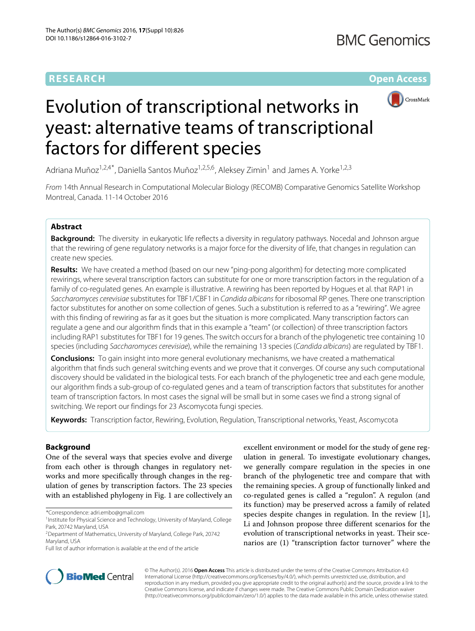**RESEARCH Open Access**



# Evolution of transcriptional networks in yeast: alternative teams of transcriptional factors for different species

Adriana Muñoz<sup>1,2,4\*</sup>, Daniella Santos Muñoz<sup>1,2,5,6</sup>, Aleksey Zimin<sup>1</sup> and James A. Yorke<sup>1,2,3</sup>

From 14th Annual Research in Computational Molecular Biology (RECOMB) Comparative Genomics Satellite Workshop Montreal, Canada. 11-14 October 2016

## **Abstract**

**Background:** The diversity in eukaryotic life reflects a diversity in regulatory pathways. Nocedal and Johnson argue that the rewiring of gene regulatory networks is a major force for the diversity of life, that changes in regulation can create new species.

**Results:** We have created a method (based on our new "ping-pong algorithm) for detecting more complicated rewirings, where several transcription factors can substitute for one or more transcription factors in the regulation of a family of co-regulated genes. An example is illustrative. A rewiring has been reported by Hogues et al. that RAP1 in Saccharomyces cerevisiae substitutes for TBF1/CBF1 in Candida albicans for ribosomal RP genes. There one transcription factor substitutes for another on some collection of genes. Such a substitution is referred to as a "rewiring". We agree with this finding of rewiring as far as it goes but the situation is more complicated. Many transcription factors can regulate a gene and our algorithm finds that in this example a "team" (or collection) of three transcription factors including RAP1 substitutes for TBF1 for 19 genes. The switch occurs for a branch of the phylogenetic tree containing 10 species (including Saccharomyces cerevisiae), while the remaining 13 species (Candida albicans) are regulated by TBF1.

**Conclusions:** To gain insight into more general evolutionary mechanisms, we have created a mathematical algorithm that finds such general switching events and we prove that it converges. Of course any such computational discovery should be validated in the biological tests. For each branch of the phylogenetic tree and each gene module, our algorithm finds a sub-group of co-regulated genes and a team of transcription factors that substitutes for another team of transcription factors. In most cases the signal will be small but in some cases we find a strong signal of switching. We report our findings for 23 Ascomycota fungi species.

**Keywords:** Transcription factor, Rewiring, Evolution, Regulation, Transcriptional networks, Yeast, Ascomycota

## **Background**

One of the several ways that species evolve and diverge from each other is through changes in regulatory networks and more specifically through changes in the regulation of genes by transcription factors. The 23 species with an established phylogeny in Fig. [1](#page-1-0) are collectively an

\*Correspondence: [adri.embo@gmail.com](mailto: adri.embo@gmail.com)

excellent environment or model for the study of gene regulation in general. To investigate evolutionary changes, we generally compare regulation in the species in one branch of the phylogenetic tree and compare that with the remaining species. A group of functionally linked and co-regulated genes is called a "regulon". A regulon (and its function) may be preserved across a family of related species despite changes in regulation. In the review [\[1\]](#page-11-0), Li and Johnson propose three different scenarios for the evolution of transcriptional networks in yeast. Their scenarios are (1) "transcription factor turnover" where the



© The Author(s). 2016 **Open Access** This article is distributed under the terms of the Creative Commons Attribution 4.0 International License [\(http://creativecommons.org/licenses/by/4.0/\)](http://creativecommons.org/licenses/by/4.0/), which permits unrestricted use, distribution, and reproduction in any medium, provided you give appropriate credit to the original author(s) and the source, provide a link to the Creative Commons license, and indicate if changes were made. The Creative Commons Public Domain Dedication waiver [\(http://creativecommons.org/publicdomain/zero/1.0/\)](http://creativecommons.org/publicdomain/zero/1.0/) applies to the data made available in this article, unless otherwise stated.

<sup>&</sup>lt;sup>1</sup> Institute for Physical Science and Technology, University of Maryland, College Park, 20742 Maryland, USA

<sup>2</sup>Department of Mathematics, University of Maryland, College Park, 20742 Maryland, USA

Full list of author information is available at the end of the article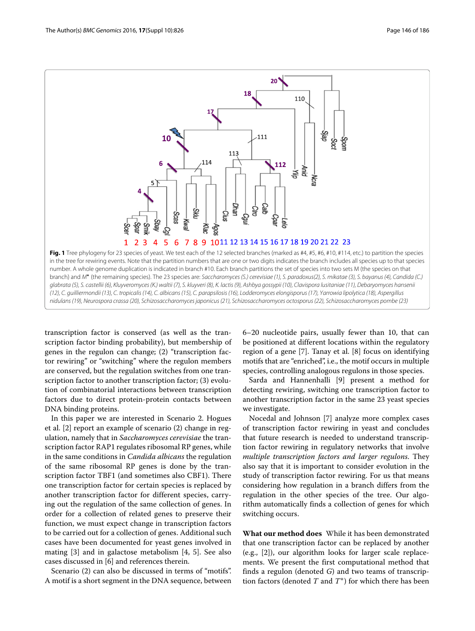

<span id="page-1-0"></span>transcription factor is conserved (as well as the transcription factor binding probability), but membership of genes in the regulon can change; (2) "transcription factor rewiring" or "switching" where the regulon members are conserved, but the regulation switches from one transcription factor to another transcription factor; (3) evolution of combinatorial interactions between transcription factors due to direct protein-protein contacts between DNA binding proteins.

In this paper we are interested in Scenario 2. Hogues et al. [\[2\]](#page-11-1) report an example of scenario (2) change in regulation, namely that in *Saccharomyces cerevisiae* the transcription factor RAP1 regulates ribosomal RP genes, while in the same conditions in *Candida albicans* the regulation of the same ribosomal RP genes is done by the transcription factor TBF1 (and sometimes also CBF1). There one transcription factor for certain species is replaced by another transcription factor for different species, carrying out the regulation of the same collection of genes. In order for a collection of related genes to preserve their function, we must expect change in transcription factors to be carried out for a collection of genes. Additional such cases have been documented for yeast genes involved in mating [\[3\]](#page-11-2) and in galactose metabolism [\[4,](#page-11-3) [5\]](#page-11-4). See also cases discussed in [\[6\]](#page-11-5) and references therein.

Scenario (2) can also be discussed in terms of "motifs". A motif is a short segment in the DNA sequence, between 6–20 nucleotide pairs, usually fewer than 10, that can be positioned at different locations within the regulatory region of a gene [\[7\]](#page-11-6). Tanay et al. [\[8\]](#page-11-7) focus on identifying motifs that are "enriched", i.e., the motif occurs in multiple species, controlling analogous regulons in those species.

Sarda and Hannenhalli [\[9\]](#page-11-8) present a method for detecting rewiring, switching one transcription factor to another transcription factor in the same 23 yeast species we investigate.

Nocedal and Johnson [\[7\]](#page-11-6) analyze more complex cases of transcription factor rewiring in yeast and concludes that future research is needed to understand transcription factor rewiring in regulatory networks that involve *multiple transcription factors and larger regulons*. They also say that it is important to consider evolution in the study of transcription factor rewiring. For us that means considering how regulation in a branch differs from the regulation in the other species of the tree. Our algorithm automatically finds a collection of genes for which switching occurs.

**What our method does** While it has been demonstrated that one transcription factor can be replaced by another (e.g., [\[2\]](#page-11-1)), our algorithm looks for larger scale replacements. We present the first computational method that finds a regulon (denoted *G*) and two teams of transcription factors (denoted *T* and *T*∗) for which there has been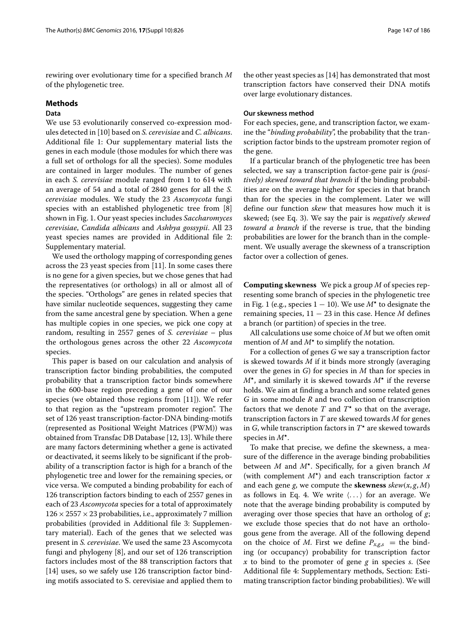rewiring over evolutionary time for a specified branch *M* of the phylogenetic tree.

## **Methods**

## **Data**

We use 53 evolutionarily conserved co-expression modules detected in [\[10\]](#page-11-9) based on *S. cerevisiae* and *C. albicans*. Additional file [1:](#page-10-0) Our supplementary material lists the genes in each module (those modules for which there was a full set of orthologs for all the species). Some modules are contained in larger modules. The number of genes in each *S. cerevisiae* module ranged from 1 to 614 with an average of 54 and a total of 2840 genes for all the *S. cerevisiae* modules. We study the 23 *Ascomycota* fungi species with an established phylogenetic tree from [\[8\]](#page-11-7) shown in Fig. [1.](#page-1-0) Our yeast species includes *Saccharomyces cerevisiae*, *Candida albicans* and *Ashbya gossypii*. All 23 yeast species names are provided in Additional file [2:](#page-10-1) Supplementary material.

We used the orthology mapping of corresponding genes across the 23 yeast species from [\[11\]](#page-11-10). In some cases there is no gene for a given species, but we chose genes that had the representatives (or orthologs) in all or almost all of the species. "Orthologs" are genes in related species that have similar nucleotide sequences, suggesting they came from the same ancestral gene by speciation. When a gene has multiple copies in one species, we pick one copy at random, resulting in 2557 genes of *S. cerevisiae* – plus the orthologous genes across the other 22 *Ascomycota* species.

This paper is based on our calculation and analysis of transcription factor binding probabilities, the computed probability that a transcription factor binds somewhere in the 600-base region preceding a gene of one of our species (we obtained those regions from [\[11\]](#page-11-10)). We refer to that region as the "upstream promoter region". The set of 126 yeast transcription-factor-DNA binding-motifs (represented as Positional Weight Matrices (PWM)) was obtained from Transfac DB Database [\[12,](#page-11-11) [13\]](#page-11-12). While there are many factors determining whether a gene is activated or deactivated, it seems likely to be significant if the probability of a transcription factor is high for a branch of the phylogenetic tree and lower for the remaining species, or vice versa. We computed a binding probability for each of 126 transcription factors binding to each of 2557 genes in each of 23 *Ascomycota* species for a total of approximately  $126 \times 2557 \times 23$  probabilities, i.e., approximately 7 million probabilities (provided in Additional file [3:](#page-10-2) Supplementary material). Each of the genes that we selected was present in *S. cerevisiae*. We used the same 23 Ascomycota fungi and phylogeny [\[8\]](#page-11-7), and our set of 126 transcription factors includes most of the 88 transcription factors that [\[14\]](#page-11-13) uses, so we safely use 126 transcription factor binding motifs associated to S. cerevisiae and applied them to

the other yeast species as [\[14\]](#page-11-13) has demonstrated that most transcription factors have conserved their DNA motifs over large evolutionary distances.

### **Our skewness method**

For each species, gene, and transcription factor, we examine the "*binding probability*", the probability that the transcription factor binds to the upstream promoter region of the gene.

If a particular branch of the phylogenetic tree has been selected, we say a transcription factor-gene pair is *(positively) skewed toward that branch* if the binding probabilities are on the average higher for species in that branch than for the species in the complement. Later we will define our function *skew* that measures how much it is skewed; (see Eq. [3\)](#page-3-0). We say the pair is *negatively skewed toward a branch* if the reverse is true, that the binding probabilities are lower for the branch than in the complement. We usually average the skewness of a transcription factor over a collection of genes.

**Computing skewness** We pick a group *M* of species representing some branch of species in the phylogenetic tree in Fig. [1](#page-1-0) (e.g., species  $1 - 10$ ). We use  $M^{\star}$  to designate the remaining species, 11 − 23 in this case. Hence *M* defines a branch (or partition) of species in the tree.

All calculations use some choice of *M* but we often omit mention of *M* and *M-* to simplify the notation.

For a collection of genes *G* we say a transcription factor is skewed towards *M* if it binds more strongly (averaging over the genes in *G*) for species in *M* than for species in *M-*, and similarly it is skewed towards *M-* if the reverse holds. We aim at finding a branch and some related genes *G* in some module *R* and two collection of transcription factors that we denote  $T$  and  $T^*$  so that on the average, transcription factors in *T* are skewed towards *M* for genes in *G*, while transcription factors in *T-* are skewed towards species in *M-*.

To make that precise, we define the skewness, a measure of the difference in the average binding probabilities between *M* and *M-*. Specifically, for a given branch *M* (with complement *M-*) and each transcription factor *x* and each gene *g*, we compute the **skewness** *skew(x*, *g*, *M)* as follows in Eq. [4.](#page-4-0) We write  $\langle \ldots \rangle$  for an average. We note that the average binding probability is computed by averaging over those species that have an ortholog of *g*; we exclude those species that do not have an orthologous gene from the average. All of the following depend on the choice of *M*. First we define  $P_{x,g,s}$  = the binding (or occupancy) probability for transcription factor *x* to bind to the promoter of gene *g* in species *s*. (See Additional file [4:](#page-10-3) Supplementary methods, Section: Estimating transcription factor binding probabilities). We will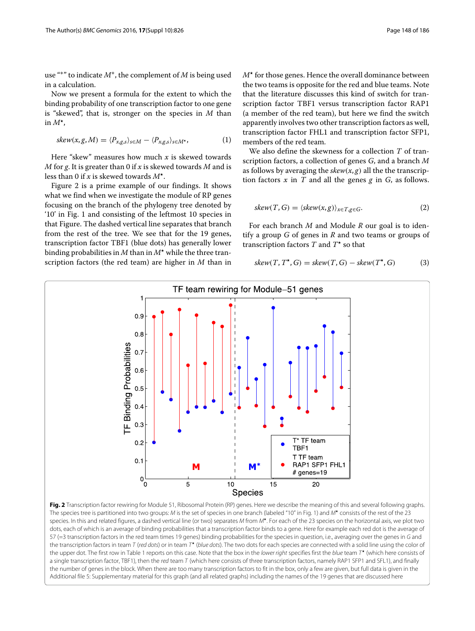use "∗" to indicate *M*∗, the complement of *M* is being used in a calculation.

Now we present a formula for the extent to which the binding probability of one transcription factor to one gene is "skewed", that is, stronger on the species in *M* than in *M-*,

$$
skew(x, g, M) = \langle P_{x, g, s} \rangle_{s \in M} - \langle P_{x, g, s} \rangle_{s \in M^*}, \tag{1}
$$

Here "skew" measures how much *x* is skewed towards *M* for *g*. It is greater than 0 if *x* is skewed towards *M* and is less than 0 if *x* is skewed towards *M-*.

Figure [2](#page-3-1) is a prime example of our findings. It shows what we find when we investigate the module of RP genes focusing on the branch of the phylogeny tree denoted by '10' in Fig. [1](#page-1-0) and consisting of the leftmost 10 species in that Figure. The dashed vertical line separates that branch from the rest of the tree. We see that for the 19 genes, transcription factor TBF1 (blue dots) has generally lower binding probabilities in *M* than in *M-* while the three transcription factors (the red team) are higher in *M* than in

 $M^{\star}$  for those genes. Hence the overall dominance between the two teams is opposite for the red and blue teams. Note that the literature discusses this kind of switch for transcription factor TBF1 versus transcription factor RAP1 (a member of the red team), but here we find the switch apparently involves two other transcription factors as well, transcription factor FHL1 and transcription factor SFP1, members of the red team.

We also define the skewness for a collection *T* of transcription factors, a collection of genes *G*, and a branch *M* as follows by averaging the  $skew(x, g)$  all the the transcription factors *x* in *T* and all the genes *g* in *G*, as follows.

$$
skew(T, G) = \langle skew(x, g) \rangle_{x \in T, g \in G}.
$$
 (2)

For each branch *M* and Module *R* our goal is to identify a group *G* of genes in *R* and two teams or groups of transcription factors *T* and *T-* so that

<span id="page-3-0"></span>
$$
skew(T, T^{\star}, G) = skew(T, G) - skew(T^{\star}, G)
$$
 (3)



<span id="page-3-1"></span>The species tree is partitioned into two groups: M is the set of species in one branch (labeled "10" in Fig. [1\)](#page-1-0) and M\* consists of the rest of the 23 species. In this and related figures, a dashed vertical line (or two) separates M from M<sup>\*</sup>. For each of the 23 species on the horizontal axis, we plot two dots, each of which is an average of binding probabilities that a transcription factor binds to a gene. Here for example each red dot is the average of 57 (=3 transcription factors in the red team times 19 genes) binding probabilities for the species in question, i.e., averaging over the genes in G and the transcription factors in team T (red dots) or in team T<sup>\*</sup> (blue dots). The two dots for each species are connected with a solid line using the color of the upper dot. The first row in Table [1](#page-6-0) reports on this case. Note that the box in the lower right specifies first the blue team T<sup>\*</sup> (which here consists of a single transcription factor, TBF1), then the red team T (which here consists of three transcription factors, namely RAP1 SFP1 and SFL1), and finally the number of genes in the block. When there are too many transcription factors to fit in the box, only a few are given, but full data is given in the Additional file [5:](#page-10-4) Supplementary material for this graph (and all related graphs) including the names of the 19 genes that are discussed here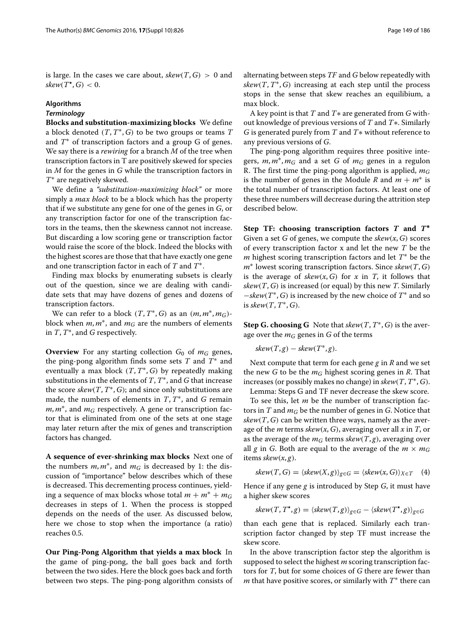is large. In the cases we care about,  $skew(T, G) > 0$  and  $skew(T^{\star}, G) < 0.$ 

## **Algorithms**

## *Terminology*

**Blocks and substitution-maximizing blocks** We define a block denoted *(T*, *T*∗, *G)* to be two groups or teams *T* and *T*∗ of transcription factors and a group G of genes. We say there is a *rewiring* for a branch *M* of the tree when transcription factors in T are positively skewed for species in *M* for the genes in *G* while the transcription factors in *T*∗ are negatively skewed.

We define a *"substitution-maximizing block"* or more simply a *max block* to be a block which has the property that if we substitute any gene for one of the genes in *G*, or any transcription factor for one of the transcription factors in the teams, then the skewness cannot not increase. But discarding a low scoring gene or transcription factor would raise the score of the block. Indeed the blocks with the highest scores are those that that have exactly one gene and one transcription factor in each of *T* and *T*∗.

Finding max blocks by enumerating subsets is clearly out of the question, since we are dealing with candidate sets that may have dozens of genes and dozens of transcription factors.

We can refer to a block  $(T, T^*, G)$  as an  $(m, m^*, m_G)$ block when  $m, m^*$ , and  $m_G$  are the numbers of elements in *T*, *T*∗, and *G* respectively.

**Overview** For any starting collection  $G_0$  of  $m_G$  genes, the ping-pong algorithm finds some sets *T* and *T*∗ and eventually a max block *(T*, *T*∗, *G)* by repeatedly making substitutions in the elements of *T*, *T*∗, and *G* that increase the score  $skew(T, T^*, G)$ ; and since only substitutions are made, the numbers of elements in *T*, *T*∗, and *G* remain *m*, *m*<sup>∗</sup>, and *m<sub>G</sub>* respectively. A gene or transcription factor that is eliminated from one of the sets at one stage may later return after the mix of genes and transcription factors has changed.

**A sequence of ever-shrinking max blocks** Next one of the numbers  $m, m^*$ , and  $m_G$  is decreased by 1: the discussion of "importance" below describes which of these is decreased. This decrementing process continues, yielding a sequence of max blocks whose total  $m + m^* + m_G$ decreases in steps of 1. When the process is stopped depends on the needs of the user. As discussed below, here we chose to stop when the importance (a ratio) reaches 0.5.

**Our Ping-Pong Algorithm that yields a max block** In the game of ping-pong, the ball goes back and forth between the two sides. Here the block goes back and forth between two steps. The ping-pong algorithm consists of alternating between steps *TF* and *G* below repeatedly with  $skew(T, T^*, G)$  increasing at each step until the process stops in the sense that skew reaches an equilibium, a max block.

A key point is that *T* and *T*∗ are generated from *G* without knowledge of previous versions of *T* and *T*∗. Similarly *G* is generated purely from *T* and *T*∗ without reference to any previous versions of *G*.

The ping-pong algorithm requires three positive integers, *m*, *m*∗, *mG* and a set *G* of *mG* genes in a regulon R. The first time the ping-pong algorithm is applied, *mG* is the number of genes in the Module *R* and  $m + m^*$  is the total number of transcription factors. At least one of these three numbers will decrease during the attrition step described below.

**Step TF: choosing transcription factors** *T* **and** *T***∗** Given a set *G* of genes, we compute the *skew(x*, *G)* scores of every transcription factor x and let the new *T* be the *m* highest scoring transcription factors and let *T*<sup>∗</sup> be the *m*∗ lowest scoring transcription factors. Since *skew(T*, *G)* is the average of  $skew(x, G)$  for *x* in *T*, it follows that *skew(T*, *G)* is increased (or equal) by this new *T*. Similarly −*skew(T*∗, *G)* is increased by the new choice of *T*<sup>∗</sup> and so is *skew(T*, *T*∗, *G)*.

**Step G. choosing G** Note that  $skew(T, T^*, G)$  is the average over the *mG* genes in *G* of the terms

$$
skew(T, g) - skew(T^*, g).
$$

Next compute that term for each gene *g* in *R* and we set the new *G* to be the *mG* highest scoring genes in *R*. That increases (or possibly makes no change) in *skew(T*, *T*∗, *G)*.

Lemma: Steps G and TF never decrease the skew score. To see this, let *m* be the number of transcription factors in  $T$  and  $m<sub>G</sub>$  be the number of genes in  $G$ . Notice that  $skew(T, G)$  can be written three ways, namely as the average of the *m* terms *skew(x*, *G)*, averaging over all *x* in *T*, or as the average of the  $m<sub>G</sub>$  terms *skew*( $T$ ,  $g$ ), averaging over all *g* in *G*. Both are equal to the average of the  $m \times m_G$ items *skew(x*, *g)*.

<span id="page-4-0"></span>
$$
skew(T, G) = \langle skew(X, g) \rangle_{g \in G} = \langle skew(x, G) \rangle_{X \in T} \quad (4)
$$

Hence if any gene *g* is introduced by Step *G*, it must have a higher skew scores

$$
skew(T, T^{\star}, g) = \langle skew(T, g) \rangle_{g \in G} - \langle skew(T^{\star}, g) \rangle_{g \in G}
$$

than each gene that is replaced. Similarly each transcription factor changed by step TF must increase the skew score.

In the above transcription factor step the algorithm is supposed to select the highest *m* scoring transcription factors for *T*, but for some choices of *G* there are fewer than *m* that have positive scores, or similarly with *T*<sup>∗</sup> there can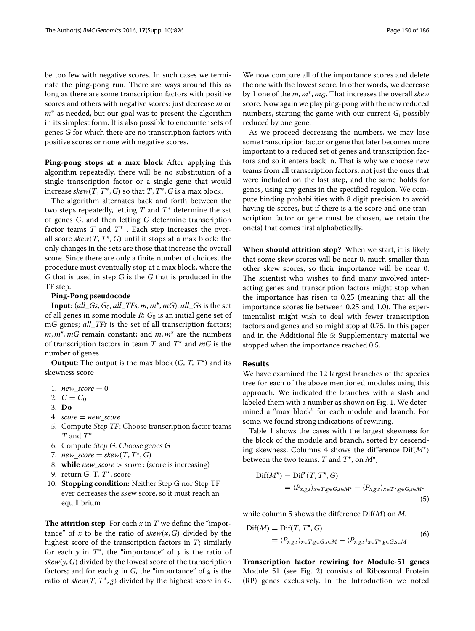be too few with negative scores. In such cases we terminate the ping-pong run. There are ways around this as long as there are some transcription factors with positive scores and others with negative scores: just decrease *m* or *m*<sup>∗</sup> as needed, but our goal was to present the algorithm in its simplest form. It is also possible to encounter sets of genes *G* for which there are no transcription factors with positive scores or none with negative scores.

**Ping-pong stops at a max block** After applying this algorithm repeatedly, there will be no substitution of a single transcription factor or a single gene that would increase  $skew(T, T^*, G)$  so that *T*,  $T^*, G$  is a max block.

The algorithm alternates back and forth between the two steps repeatedly, letting *T* and *T*∗ determine the set of genes *G*, and then letting *G* determine transcription factor teams *T* and *T*∗ . Each step increases the overall score *skew(T*, *T*∗, *G)* until it stops at a max block: the only changes in the sets are those that increase the overall score. Since there are only a finite number of choices, the procedure must eventually stop at a max block, where the *G* that is used in step G is the *G* that is produced in the TF step.

### **Ping-Pong pseudocode**

**Input:** (*all*\_*Gs*, *G*0, *all*\_*TFs*, *m*, *m-*, *mG*): *all*\_*Gs* is the set of all genes in some module *R*; *G*<sup>0</sup> is an initial gene set of mG genes; *all*\_*TFs* is the set of all transcription factors; *m*, *m-*, *mG* remain constant; and *m*, *m-* are the numbers of transcription factors in team *T* and *T-* and *mG* is the number of genes

**Output**: The output is the max block (*G*, *T*, *T-*) and its skewness score

- 1. *new*  $score = 0$
- 2.  $G = G_0$
- 3. **Do**
- 4. *score* = *new*\_*score*
- 5. Compute Step TF: Choose transcription factor teams <sup>T</sup> and *T*∗
- 6. Compute Step G. Choose genes <sup>G</sup>
- 7.  $new\_score = skew(T, T^{\star}, G)$
- 8. **while** *new*\_*score > score* : (score is increasing)
- 9. return G, T, *T-*, score
- 10. **Stopping condition:** Neither Step G nor Step TF ever decreases the skew score, so it must reach an equillibrium

**The attrition step** For each *x* in *T* we define the "importance" of *x* to be the ratio of  $skew(x, G)$  divided by the highest score of the transcription factors in *T*; similarly for each  $y$  in  $T^*$ , the "importance" of  $y$  is the ratio of  $skew(y, G)$  divided by the lowest score of the transcription factors; and for each  $g$  in  $G$ , the "importance" of  $g$  is the ratio of  $skew(T, T^*, g)$  divided by the highest score in *G*.

We now compare all of the importance scores and delete the one with the lowest score. In other words, we decrease by 1 one of the *m*, *m*∗, *mG*. That increases the overall *skew* score. Now again we play ping-pong with the new reduced

reduced by one gene. As we proceed decreasing the numbers, we may lose some transcription factor or gene that later becomes more important to a reduced set of genes and transcription factors and so it enters back in. That is why we choose new teams from all transcription factors, not just the ones that were included on the last step, and the same holds for genes, using any genes in the specified regulon. We compute binding probabilities with 8 digit precision to avoid having tie scores, but if there is a tie score and one transcription factor or gene must be chosen, we retain the one(s) that comes first alphabetically.

numbers, starting the game with our current *G*, possibly

**When should attrition stop?** When we start, it is likely that some skew scores will be near 0, much smaller than other skew scores, so their importance will be near 0. The scientist who wishes to find many involved interacting genes and transcription factors might stop when the importance has risen to 0.25 (meaning that all the importance scores lie between 0.25 and 1.0). The experimentalist might wish to deal with fewer transcription factors and genes and so might stop at 0.75. In this paper and in the Additional file [5:](#page-10-4) Supplementary material we stopped when the importance reached 0.5.

## **Results**

We have examined the 12 largest branches of the species tree for each of the above mentioned modules using this approach. We indicated the branches with a slash and labeled them with a number as shown on Fig. [1.](#page-1-0) We determined a "max block" for each module and branch. For some, we found strong indications of rewiring.

Table [1](#page-6-0) shows the cases with the largest skewness for the block of the module and branch, sorted by descending skewness. Columns 4 shows the difference Dif*(M-)* between the two teams,  $T$  and  $T^*$ , on  $M^*$ ,

$$
\begin{aligned} \text{Diff}(M^{\star}) &= \text{Diff}^{\star}(T, T^{\star}, G) \\ &= \langle P_{x,g,s} \rangle_{x \in T, g \in G, s \in M^{\star}} - \langle P_{x,g,s} \rangle_{x \in T^{\star}, g \in G, s \in M^{\star}} \end{aligned} \tag{5}
$$

while column 5 shows the difference Dif*(M)* on *M*,

$$
\begin{aligned} \text{Dif}(M) &= \text{Dif}(T, T^{\star}, G) \\ &= \langle P_{x,g,s} \rangle_{x \in T, g \in G, s \in M} - \langle P_{x,g,s} \rangle_{x \in T^{\star}, g \in G, s \in M} \end{aligned} \tag{6}
$$

**Transcription factor rewiring for Module-51 genes** Module 51 (see Fig. [2\)](#page-3-1) consists of Ribosomal Protein (RP) genes exclusively. In the Introduction we noted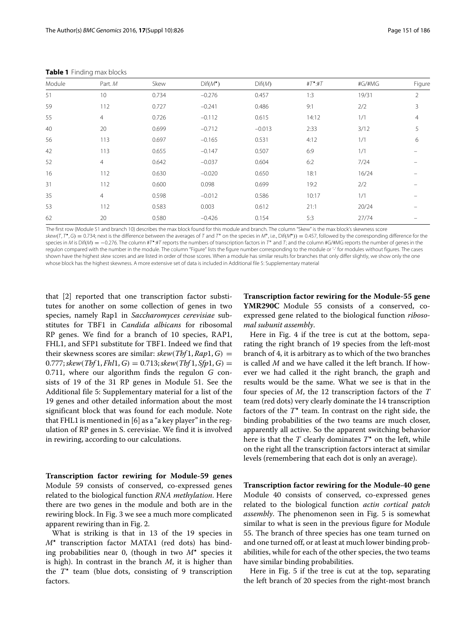| Module | Part. M        | Skew  | $Diff(M^{\star})$ | Diff(M)  | $#T^{\star}:#T$ | #G/#MG | Figure         |
|--------|----------------|-------|-------------------|----------|-----------------|--------|----------------|
| 51     | 10             | 0.734 | $-0.276$          | 0.457    | 1:3             | 19/31  | $\overline{2}$ |
| 59     | 112            | 0.727 | $-0.241$          | 0.486    | 9:1             | 2/2    | 3              |
| 55     | 4              | 0.726 | $-0.112$          | 0.615    | 14:12           | 1/1    | $\overline{4}$ |
| 40     | 20             | 0.699 | $-0.712$          | $-0.013$ | 2:33            | 3/12   | 5              |
| 56     | 113            | 0.697 | $-0.165$          | 0.531    | 4:12            | 1/1    | 6              |
| 42     | 113            | 0.655 | $-0.147$          | 0.507    | 6:9             | 1/1    |                |
| 52     | $\overline{4}$ | 0.642 | $-0.037$          | 0.604    | 6:2             | 7/24   |                |
| 16     | 112            | 0.630 | $-0.020$          | 0.650    | 18:1            | 16/24  |                |
| 31     | 112            | 0.600 | 0.098             | 0.699    | 19:2            | 2/2    |                |
| 35     | 4              | 0.598 | $-0.012$          | 0.586    | 10:17           | 1/1    |                |
| 53     | 112            | 0.583 | 0.003             | 0.612    | 21:1            | 20/24  |                |
| 62     | 20             | 0.580 | $-0.426$          | 0.154    | 5:3             | 27/74  |                |

<span id="page-6-0"></span>**Table 1** Finding max blocks

The first row (Module 51 and branch 10) describes the max block found for this module and branch. The column "Skew" is the max block's skewness score

skew*(*T, T *-*, <sup>G</sup>*)* <sup>=</sup> 0.734; next is the difference between the averages of <sup>T</sup> and <sup>T</sup><sup>∗</sup> on the species in <sup>M</sup>∗, i.e., Dif*(*M*-))* = 0.457, followed by the corresponding difference for the species in M is Dif(M) = -0.276. The column #T\*:#T reports the numbers of transcription factors in T\* and T; and the column #G/#MG reports the number of genes in the regulon compared with the number in the module. The column "Figure" lists the figure number corresponding to the module or '-' for modules without figures. The cases shown have the highest skew scores and are listed in order of those scores. When a module has similar results for branches that only differ slightly, we show only the one whose block has the highest skewness. A more extensive set of data is included in Additional file [5:](#page-10-4) Supplementary material

that [\[2\]](#page-11-1) reported that one transcription factor substitutes for another on some collection of genes in two species, namely Rap1 in *Saccharomyces cerevisiae* substitutes for TBF1 in *Candida albicans* for ribosomal RP genes. We find for a branch of 10 species, RAP1, FHL1, and SFP1 substitute for TBF1. Indeed we find that their skewness scores are similar:  $skew(Tbf1, Rap1, G) =$  $0.777$ ; skew $(Tbf{1}, Fhl1, G) = 0.713$ ; skew $(Tbf{1}, Sfp1, G) = 0$ 0.711, where our algorithm finds the regulon *G* consists of 19 of the 31 RP genes in Module 51. See the Additional file [5:](#page-10-4) Supplementary material for a list of the 19 genes and other detailed information about the most significant block that was found for each module. Note that FHL1 is mentioned in [\[6\]](#page-11-5) as a "a key player" in the regulation of RP genes in S. cerevisiae. We find it is involved in rewiring, according to our calculations.

**Transcription factor rewiring for Module-59 genes** Module 59 consists of conserved, co-expressed genes related to the biological function *RNA methylation*. Here there are two genes in the module and both are in the rewiring block. In Fig. [3](#page-7-0) we see a much more complicated apparent rewiring than in Fig. [2.](#page-3-1)

What is striking is that in 13 of the 19 species in *M-* transcription factor MATA1 (red dots) has binding probabilities near 0, (though in two *M-* species it is high). In contrast in the branch *M*, it is higher than the  $T^*$  team (blue dots, consisting of 9 transcription factors.

**Transcription factor rewiring for the Module-55 gene YMR290C** Module 55 consists of a conserved, coexpressed gene related to the biological function *ribosomal subunit assembly*.

Here in Fig. [4](#page-7-1) if the tree is cut at the bottom, separating the right branch of 19 species from the left-most branch of 4, it is arbitrary as to which of the two branches is called *M* and we have called it the left branch. If however we had called it the right branch, the graph and results would be the same. What we see is that in the four species of *M*, the 12 transcription factors of the *T* team (red dots) very clearly dominate the 14 transcription factors of the  $T^*$  team. In contrast on the right side, the binding probabilities of the two teams are much closer, apparently all active. So the apparent switching behavior here is that the *T* clearly dominates *T-* on the left, while on the right all the transcription factors interact at similar levels (remembering that each dot is only an average).

**Transcription factor rewiring for the Module-40 gene** Module 40 consists of conserved, co-expressed genes related to the biological function *actin cortical patch assembly*. The phenomenon seen in Fig. [5](#page-8-0) is somewhat similar to what is seen in the previous figure for Module 55. The branch of three species has one team turned on and one turned off, or at least at much lower binding probabilities, while for each of the other species, the two teams have similar binding probabilities.

Here in Fig. [5](#page-8-0) if the tree is cut at the top, separating the left branch of 20 species from the right-most branch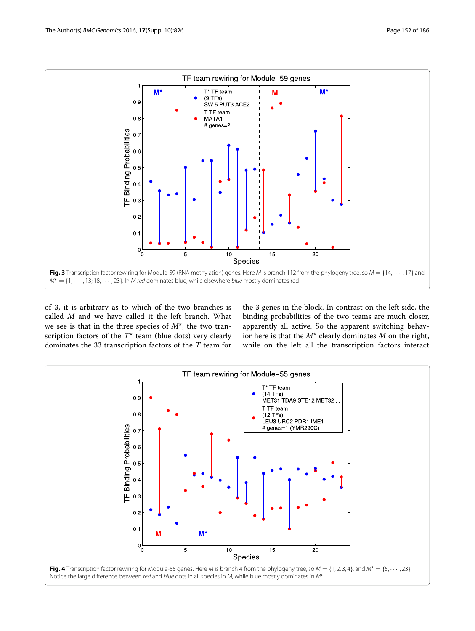

<span id="page-7-0"></span>of 3, it is arbitrary as to which of the two branches is called *M* and we have called it the left branch. What we see is that in the three species of  $M^*$ , the two transcription factors of the  $T^*$  team (blue dots) very clearly dominates the 33 transcription factors of the *T* team for the 3 genes in the block. In contrast on the left side, the binding probabilities of the two teams are much closer, apparently all active. So the apparent switching behavior here is that the  $M^*$  clearly dominates  $M$  on the right, while on the left all the transcription factors interact

<span id="page-7-1"></span>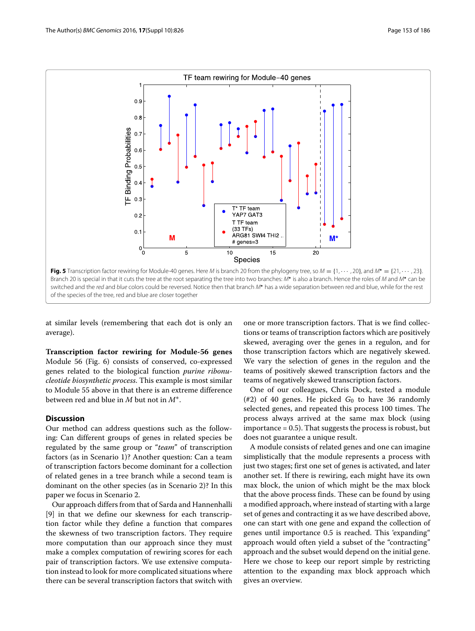

<span id="page-8-0"></span>at similar levels (remembering that each dot is only an average).

**Transcription factor rewiring for Module-56 genes** Module 56 (Fig. [6\)](#page-9-0) consists of conserved, co-expressed genes related to the biological function *purine ribonucleotide biosynthetic process*. This example is most similar to Module 55 above in that there is an extreme difference between red and blue in *M* but not in *M*∗.

## **Discussion**

Our method can address questions such as the following: Can different groups of genes in related species be regulated by the same group or "*team*" of transcription factors (as in Scenario 1)? Another question: Can a team of transcription factors become dominant for a collection of related genes in a tree branch while a second team is dominant on the other species (as in Scenario 2)? In this paper we focus in Scenario 2.

Our approach differs from that of Sarda and Hannenhalli [\[9\]](#page-11-8) in that we define our skewness for each transcription factor while they define a function that compares the skewness of two transcription factors. They require more computation than our approach since they must make a complex computation of rewiring scores for each pair of transcription factors. We use extensive computation instead to look for more complicated situations where there can be several transcription factors that switch with

one or more transcription factors. That is we find collections or teams of transcription factors which are positively skewed, averaging over the genes in a regulon, and for those transcription factors which are negatively skewed. We vary the selection of genes in the regulon and the teams of positively skewed transcription factors and the teams of negatively skewed transcription factors.

One of our colleagues, Chris Dock, tested a module (#2) of 40 genes. He picked  $G_0$  to have 36 randomly selected genes, and repeated this process 100 times. The process always arrived at the same max block (using importance = 0.5). That suggests the process is robust, but does not guarantee a unique result.

A module consists of related genes and one can imagine simplistically that the module represents a process with just two stages; first one set of genes is activated, and later another set. If there is rewiring, each might have its own max block, the union of which might be the max block that the above process finds. These can be found by using a modified approach, where instead of starting with a large set of genes and contracting it as we have described above, one can start with one gene and expand the collection of genes until importance 0.5 is reached. This 'expanding" approach would often yield a subset of the "contracting" approach and the subset would depend on the initial gene. Here we chose to keep our report simple by restricting attention to the expanding max block approach which gives an overview.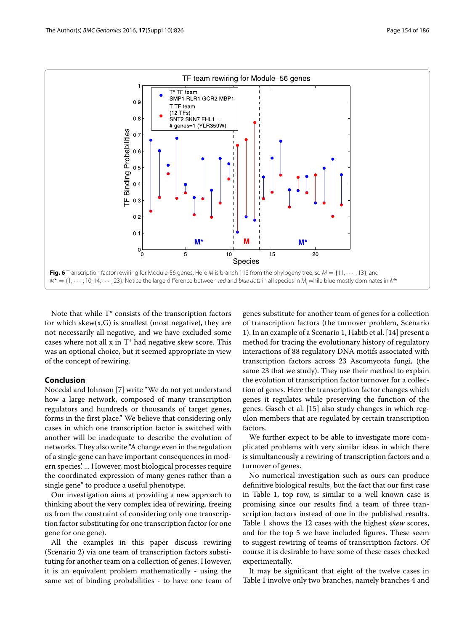

<span id="page-9-0"></span>Note that while T\* consists of the transcription factors for which skew $(x, G)$  is smallest (most negative), they are not necessarily all negative, and we have excluded some cases where not all x in T\* had negative skew score. This was an optional choice, but it seemed appropriate in view of the concept of rewiring.

## **Conclusion**

Nocedal and Johnson [\[7\]](#page-11-6) write "We do not yet understand how a large network, composed of many transcription regulators and hundreds or thousands of target genes, forms in the first place." We believe that considering only cases in which one transcription factor is switched with another will be inadequate to describe the evolution of networks. They also write "A change even in the regulation of a single gene can have important consequences in modern species'. ... However, most biological processes require the coordinated expression of many genes rather than a single gene" to produce a useful phenotype.

Our investigation aims at providing a new approach to thinking about the very complex idea of rewiring, freeing us from the constraint of considering only one transcription factor substituting for one transcription factor (or one gene for one gene).

All the examples in this paper discuss rewiring (Scenario 2) via one team of transcription factors substituting for another team on a collection of genes. However, it is an equivalent problem mathematically - using the same set of binding probabilities - to have one team of genes substitute for another team of genes for a collection of transcription factors (the turnover problem, Scenario 1). In an example of a Scenario 1, Habib et al. [\[14\]](#page-11-13) present a method for tracing the evolutionary history of regulatory interactions of 88 regulatory DNA motifs associated with transcription factors across 23 Ascomycota fungi, (the same 23 that we study). They use their method to explain the evolution of transcription factor turnover for a collection of genes. Here the transcription factor changes which genes it regulates while preserving the function of the genes. Gasch et al. [\[15\]](#page-11-14) also study changes in which regulon members that are regulated by certain transcription factors.

We further expect to be able to investigate more complicated problems with very similar ideas in which there is simultaneously a rewiring of transcription factors and a turnover of genes.

No numerical investigation such as ours can produce definitive biological results, but the fact that our first case in Table [1,](#page-6-0) top row, is similar to a well known case is promising since our results find a team of three transcription factors instead of one in the published results. Table [1](#page-6-0) shows the 12 cases with the highest *skew* scores, and for the top 5 we have included figures. These seem to suggest rewiring of teams of transcription factors. Of course it is desirable to have some of these cases checked experimentally.

It may be significant that eight of the twelve cases in Table [1](#page-6-0) involve only two branches, namely branches 4 and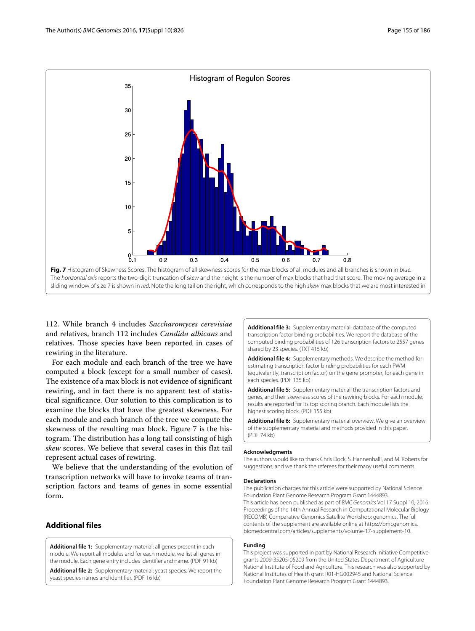

<span id="page-10-5"></span>112. While branch 4 includes *Saccharomyces cerevisiae* and relatives, branch 112 includes *Candida albicans* and relatives. Those species have been reported in cases of rewiring in the literature.

For each module and each branch of the tree we have computed a block (except for a small number of cases). The existence of a max block is not evidence of significant rewiring, and in fact there is no apparent test of statistical significance. Our solution to this complication is to examine the blocks that have the greatest skewness. For each module and each branch of the tree we compute the skewness of the resulting max block. Figure [7](#page-10-5) is the histogram. The distribution has a long tail consisting of high *skew* scores. We believe that several cases in this flat tail represent actual cases of rewiring.

We believe that the understanding of the evolution of transcription networks will have to invoke teams of transcription factors and teams of genes in some essential form.

## **Additional files**

<span id="page-10-0"></span>**[Additional file 1:](http://dx.doi.org/10.1186/s12864-016-3102-7)** Supplementary material: all genes present in each module. We report all modules and for each module, we list all genes in the module. Each gene entry includes identifier and name. (PDF 91 kb)

<span id="page-10-1"></span>**[Additional file 2:](http://dx.doi.org/10.1186/s12864-016-3102-7)** Supplementary material: yeast species. We report the yeast species names and identifier. (PDF 16 kb)

<span id="page-10-2"></span>**[Additional file 3:](http://dx.doi.org/10.1186/s12864-016-3102-7)** Supplementary material: database of the computed transcription factor binding probabilities. We report the database of the computed binding probabilities of 126 transcription factors to 2557 genes shared by 23 species. (TXT 415 kb)

<span id="page-10-3"></span>**[Additional file 4:](http://dx.doi.org/10.1186/s12864-016-3102-7)** Supplementary methods. We describe the method for estimating transcription factor binding probabilities for each PWM (equivalently, transcription factor) on the gene promoter, for each gene in each species. (PDF 135 kb)

<span id="page-10-4"></span>**[Additional file 5:](http://dx.doi.org/10.1186/s12864-016-3102-7)** Supplementary material: the transcription factors and genes, and their skewness scores of the rewiring blocks. For each module, results are reported for its top scoring branch. Each module lists the highest scoring block. (PDF 155 kb)

<span id="page-10-6"></span>**[Additional file 6:](http://dx.doi.org/10.1186/s12864-016-3102-7)** Supplementary material overview. We give an overview of the supplementary material and methods provided in this paper. (PDF 74 kb)

#### **Acknowledgments**

The authors would like to thank Chris Dock, S. Hannenhalli, and M. Roberts for suggestions, and we thank the referees for their many useful comments.

#### **Declarations**

The publication charges for this article were supported by National Science Foundation Plant Genome Research Program Grant 1444893. This article has been published as part of BMC Genomics Vol 17 Suppl 10, 2016: Proceedings of the 14th Annual Research in Computational Molecular Biology (RECOMB) Comparative Genomics Satellite Workshop: genomics. The full contents of the supplement are available online at [https://bmcgenomics.](https://bmcgenomics.biomedcentral.com/articles/supplements/volume-17-supplement-10) [biomedcentral.com/articles/supplements/volume-17-supplement-10.](https://bmcgenomics.biomedcentral.com/articles/supplements/volume-17-supplement-10)

#### **Funding**

This project was supported in part by National Research Initiative Competitive grants 2009-35205-05209 from the United States Department of Agriculture National Institute of Food and Agriculture. This research was also supported by National Institutes of Health grant R01-HG002945 and National Science Foundation Plant Genome Research Program Grant 1444893.